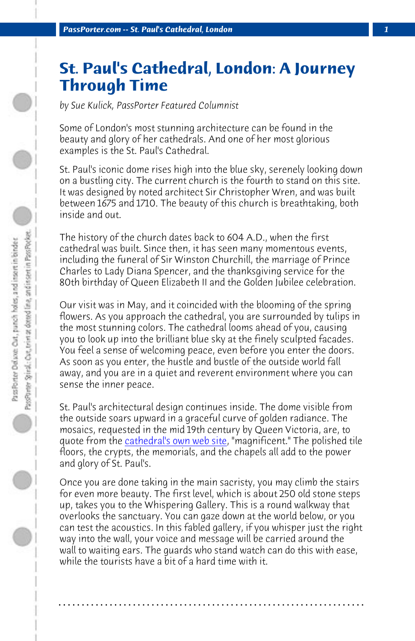*PassPorter.com -- St. Paul's Cathedral, London 1*

## **St. Paul's Cathedral, London: A Journey Through Time**

*by Sue Kulick, PassPorter Featured Columnist*

Some of London's most stunning architecture can be found in the beauty and glory of her cathedrals. And one of her most glorious examples is the St. Paul's Cathedral.

St. Paul's iconic dome rises high into the blue sky, serenely looking down on a bustling city. The current church is the fourth to stand on this site. It was designed by noted architect Sir Christopher Wren, and was built between 1675 and 1710. The beauty of this church is breathtaking, both inside and out.

The history of the church dates back to 604 A.D., when the first cathedral was [built. Since then, it has see](http://www.stpauls.co.uk/)n many momentous events, including the funeral of Sir Winston Churchill, the marriage of Prince Charles to Lady Diana Spencer, and the thanksgiving service for the 80th birthday of Queen Elizabeth II and the Golden Jubilee celebration.

Our visit was in May, and it coincided with the blooming of the spring flowers. As you approach the cathedral, you are surrounded by tulips in the most stunning colors. The cathedral looms ahead of you, causing you to look up into the brilliant blue sky at the finely sculpted facades. You feel a sense of welcoming peace, even before you enter the doors. As soon as you enter, the hustle and bustle of the outside world fall away, and you are in a quiet and reverent environment where you can sense the inner peace.

St. Paul's architectural design continues inside. The dome visible from the outside soars upward in a graceful curve of golden radiance. The mosaics, requested in the mid 19th century by Queen Victoria, are, to quote from the cathedral's own web site, "magnificent." The polished tile floors, the crypts, the memorials, and the chapels all add to the power and glory of St. Paul's.

Once you are done taking in the main sacristy, you may climb the stairs for even more beauty. The first level, which is about 250 old stone steps up, takes you to the Whispering Gallery. This is a round walkway that overlooks the sanctuary. You can gaze down at the world below, or you can test the acoustics. In this fabled gallery, if you whisper just the right way into the wall, your voice and message will be carried around the wall to waiting ears. The guards who stand watch can do this with ease, while the tourists have a bit of a hard time with it.

**. . . . . . . . . . . . . . . . . . . . . . . . . . . . . . . . . . . . . . . . . . . . . . . . . . . . . . . . . . . . . . . . . .**

 $\bigcirc$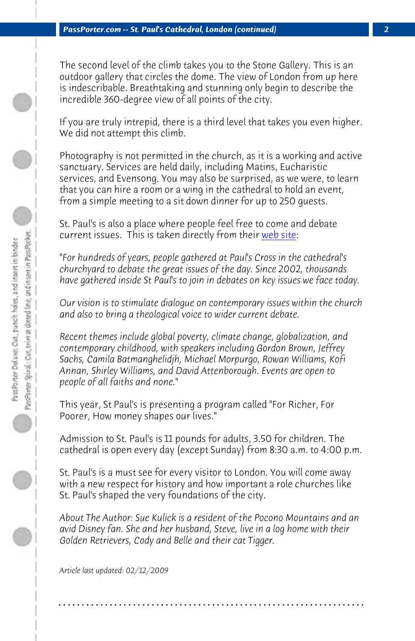*PassPorter.com -- St. Paul's Cathedral, London (continued) 2*

The second level of the climb takes you to the Stone Gallery. This is an outdoor gallery that circles the dome. The view of London from up here is indescribable. Breathtaking and stunning only begin to describe the incredible 360-degree view of all points of the city.

If you are truly intrepid, there is a third level that takes you even higher. We did not attempt this climb.

Photography is not permitted in the church, as it is a working and active sanctuary. Services are held daily, including Matins, Eucharistic services, and Evensong. You may also be surprised, as we were, to learn that you can hire a room or a wing in the cathedral to hold an event, from a simple meeting to a sit down dinner for up to 250 guests.

St. Paul's is also a place where people feel free to come and debate current issues. This is taken directly from their web site:

*"For hundreds of years, people gathered at Paul's Cross in the cathedral's churchyard to debate the great issues of the day. Since 2002, thousands have gathered inside St Paul's to join in debates on key issues we face today.*

*Our vision is to stimulate dialogue on contemporary issues within the church and also to bring a theological voice to wider current debate.*

*Recent themes include global poverty, climate change, globalization, and contemporary childhood, with speakers including Gordon Brown, Jeffrey Sachs, Camila Batmanghelidjh, Michael Morpurgo, Rowan Williams, Kofi Annan, Shirley Williams, and David Attenborough. Events are open to people of all faiths and none."*

This year, St Paul's is presenting a program called "For Richer, For Poorer, How money shapes our lives."

Admission to St. Paul's is 11 pounds for adults, 3.50 for children. The cathedral is open every day (except Sunday) from 8:30 a.m. to 4:00 p.m.

St. Paul's is a must see for every visitor to London. You will come away with a new respect for history and how important a role churches like St. Paul's shaped the very foundations of the city.

*About The Author: Sue Kulick is a resident of the Pocono Mountains and an avid Disney fan. She and her husband, Steve, live in a log home with their Golden Retrievers, Cody and Belle and their cat Tigger.*

**. . . . . . . . . . . . . . . . . . . . . . . . . . . . . . . . . . . . . . . . . . . . . . . . . . . . . . . . . . . . . . . . . .**

*Article last updated: 02/12/2009*